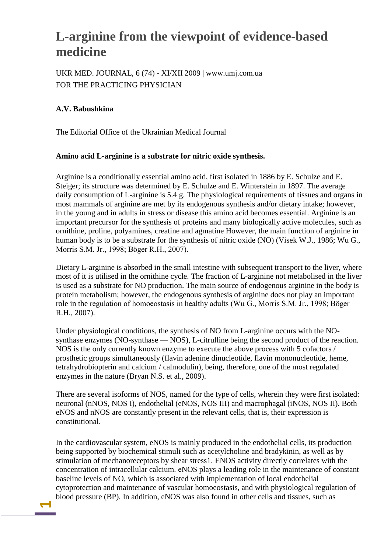# **L-arginine from the viewpoint of evidence-based medicine**

UKR MED. JOURNAL, 6 (74) - XI/XII 2009 | www.umj.com.ua FOR THE PRACTICING PHYSICIAN

## **A.V. Babushkina**

**1**

The Editorial Office of the Ukrainian Medical Journal

### **Amino acid L-arginine is a substrate for nitric oxide synthesis.**

Arginine is a conditionally essential amino acid, first isolated in 1886 by E. Schulze and E. Steiger; its structure was determined by E. Schulze and E. Winterstein in 1897. The average daily consumption of L-arginine is 5.4 g. The physiological requirements of tissues and organs in most mammals of arginine are met by its endogenous synthesis and/or dietary intake; however, in the young and in adults in stress or disease this amino acid becomes essential. Arginine is an important precursor for the synthesis of proteins and many biologically active molecules, such as ornithine, proline, polyamines, creatine and agmatine However, the main function of arginine in human body is to be a substrate for the synthesis of nitric oxide (NO) (Visek W.J., 1986; Wu G., Morris S.M. Jr., 1998; Böger R.H., 2007).

Dietary L-arginine is absorbed in the small intestine with subsequent transport to the liver, where most of it is utilised in the ornithine cycle. The fraction of L-arginine not metabolised in the liver is used as a substrate for NO production. The main source of endogenous arginine in the body is protein metabolism; however, the endogenous synthesis of arginine does not play an important role in the regulation of homoeostasis in healthy adults (Wu G., Morris S.M. Jr., 1998; Böger R.H., 2007).

Under physiological conditions, the synthesis of NO from L-arginine occurs with the NOsynthase enzymes (NO-synthase — NOS), L-citrulline being the second product of the reaction. NOS is the only currently known enzyme to execute the above process with 5 cofactors / prosthetic groups simultaneously (flavin adenine dinucleotide, flavin mononucleotide, heme, tetrahydrobiopterin and calcium / calmodulin), being, therefore, one of the most regulated enzymes in the nature (Bryan N.S. et al., 2009).

There are several isoforms of NOS, named for the type of cells, wherein they were first isolated: neuronal (nNOS, NOS I), endothelial (eNOS, NOS III) and macrophagal (iNOS, NOS II). Both eNOS and nNOS are constantly present in the relevant cells, that is, their expression is constitutional.

In the cardiovascular system, eNOS is mainly produced in the endothelial cells, its production being supported by biochemical stimuli such as acetylcholine and bradykinin, as well as by stimulation of mechanoreceptors by shear stress1. ENOS activity directly correlates with the concentration of intracellular calcium. еNOS plays a leading role in the maintenance of constant baseline levels of NO, which is associated with implementation of local endothelial cytoprotection and maintenance of vascular homoeostasis, and with physiological regulation of blood pressure (BP). In addition, eNOS was also found in other cells and tissues, such as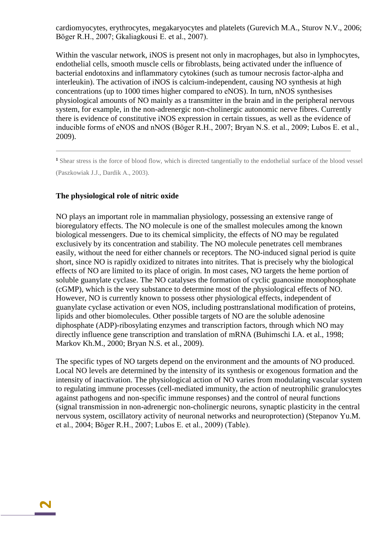cardiomyocytes, erythrocytes, megakaryocytes and platelets (Gurevich M.A., Sturov N.V., 2006; Böger R.H., 2007; Gkaliagkousi E. et al., 2007).

Within the vascular network, iNOS is present not only in macrophages, but also in lymphocytes, endothelial cells, smooth muscle cells or fibroblasts, being activated under the influence of bacterial endotoxins and inflammatory cytokines (such as tumour necrosis factor-alpha and interleukin). The activation of iNOS is calcium-independent, causing NO synthesis at high concentrations (up to 1000 times higher compared to еNOS). In turn, nNOS synthesises physiological amounts of NO mainly as a transmitter in the brain and in the peripheral nervous system, for example, in the non-adrenergic non-cholinergic autonomic nerve fibres. Currently there is evidence of constitutive iNOS expression in certain tissues, as well as the evidence of inducible forms of eNOS and nNOS (Böger R.H., 2007; Bryan N.S. et al., 2009; Lubos E. et al., 2009).

**<sup>1</sup>** Shear stress is the force of blood flow, which is directed tangentially to the endothelial surface of the blood vessel (Paszkowiak J.J., Dardik А., 2003).

#### **The physiological role of nitric oxide**

**2**

NO plays an important role in mammalian physiology, possessing an extensive range of bioregulatory effects. The NO molecule is one of the smallest molecules among the known biological messengers. Due to its chemical simplicity, the effects of NO may be regulated exclusively by its concentration and stability. The NO molecule penetrates cell membranes easily, without the need for either channels or receptors. The NO-induced signal period is quite short, since NO is rapidly oxidized to nitrates into nitrites. That is precisely why the biological effects of NO are limited to its place of origin. In most cases, NO targets the heme portion of soluble guanylate cyclase. The NO catalyses the formation of cyclic guanosine monophosphate (cGMP), which is the very substance to determine most of the physiological effects of NO. However, NO is currently known to possess other physiological effects, independent of guanylate cyclase activation or even NOS, including posttranslational modification of proteins, lipids and other biomolecules. Other possible targets of NO are the soluble adenosine diphosphate (ADP)-ribosylating enzymes and transcription factors, through which NO may directly influence gene transcription and translation of mRNA (Buhimschi I.A. et al., 1998; Markov Kh.M., 2000; Bryan N.S. et al., 2009).

The specific types of NO targets depend on the environment and the amounts of NO produced. Local NO levels are determined by the intensity of its synthesis or exogenous formation and the intensity of inactivation. The physiological action of NO varies from modulating vascular system to regulating immune processes (cell-mediated immunity, the action of neutrophilic granulocytes against pathogens and non-specific immune responses) and the control of neural functions (signal transmission in non-adrenergic non-cholinergic neurons, synaptic plasticity in the central nervous system, oscillatory activity of neuronal networks and neuroprotection) (Stepanov Yu.M. et al., 2004; Böger R.H., 2007; Lubos E. et al., 2009) (Table).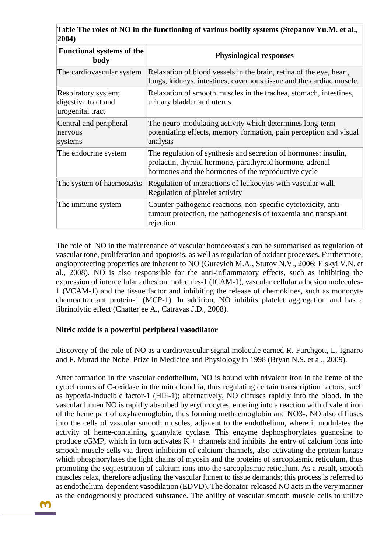Table **The roles of NO in the functioning of various bodily systems (Stepanov Yu.M. et al., 2004)**

| <b>Functional systems of the</b><br>body                       | <b>Physiological responses</b>                                                                                                                                                     |
|----------------------------------------------------------------|------------------------------------------------------------------------------------------------------------------------------------------------------------------------------------|
| The cardiovascular system                                      | Relaxation of blood vessels in the brain, retina of the eye, heart,<br>lungs, kidneys, intestines, cavernous tissue and the cardiac muscle.                                        |
| Respiratory system;<br>digestive tract and<br>urogenital tract | Relaxation of smooth muscles in the trachea, stomach, intestines,<br>urinary bladder and uterus                                                                                    |
| Central and peripheral<br>nervous<br>systems                   | The neuro-modulating activity which determines long-term<br>potentiating effects, memory formation, pain perception and visual<br>analysis                                         |
| The endocrine system                                           | The regulation of synthesis and secretion of hormones: insulin,<br>prolactin, thyroid hormone, parathyroid hormone, adrenal<br>hormones and the hormones of the reproductive cycle |
| The system of haemostasis                                      | Regulation of interactions of leukocytes with vascular wall.<br>Regulation of platelet activity                                                                                    |
| The immune system                                              | Counter-pathogenic reactions, non-specific cytotoxicity, anti-<br>tumour protection, the pathogenesis of toxaemia and transplant<br>rejection                                      |

The role of NO in the maintenance of vascular homoeostasis can be summarised as regulation of vascular tone, proliferation and apoptosis, as well as regulation of oxidant processes. Furthermore, angioprotecting properties are inherent to NO (Gurevich M.A., Sturov N.V., 2006; Elskyi V.N. et al., 2008). NO is also responsible for the anti-inflammatory effects, such as inhibiting the expression of intercellular adhesion molecules-1 (ICAM-1), vascular cellular adhesion molecules-1 (VCAM-1) and the tissue factor and inhibiting the release of chemokines, such as monocyte chemoattractant protein-1 (МСР-1). In addition, NO inhibits platelet aggregation and has a fibrinolytic effect (Chatterjee A., Catravas J.D., 2008).

#### **Nitric oxide is a powerful peripheral vasodilator**

Discovery of the role of NO as a cardiovascular signal molecule earned R. Furchgott, L. Ignarro and F. Murad the Nobel Prize in Medicine and Physiology in 1998 (Bryan N.S. et al., 2009).

After formation in the vascular endothelium, NO is bound with trivalent iron in the heme of the cytochromes of C-oxidase in the mitochondria, thus regulating certain transcription factors, such as hypoxia-inducible factor-1 (HIF-1); alternatively, NO diffuses rapidly into the blood. In the vascular lumen NO is rapidly absorbed by erythrocytes, entering into a reaction with divalent iron of the heme part of oxyhaemoglobin, thus forming methaemoglobin and NO3-. NO also diffuses into the cells of vascular smooth muscles, adjacent to the endothelium, where it modulates the activity of heme-containing guanylate cyclase. This enzyme dephosphorylates guanosine to produce cGMP, which in turn activates  $K +$  channels and inhibits the entry of calcium ions into smooth muscle cells via direct inhibition of calcium channels, also activating the protein kinase which phosphorylates the light chains of myosin and the proteins of sarcoplasmic reticulum, thus promoting the sequestration of calcium ions into the sarcoplasmic reticulum. As a result, smooth muscles relax, therefore adjusting the vascular lumen to tissue demands; this process is referred to as endothelium-dependent vasodilation (EDVD). The donator-released NO acts in the very manner as the endogenously produced substance. The ability of vascular smooth muscle cells to utilize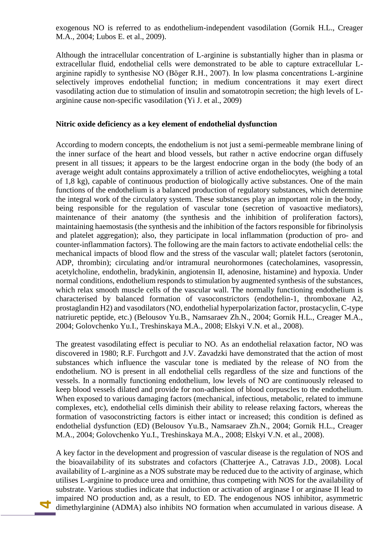exogenous NO is referred to as endothelium-independent vasodilation (Gornik H.L., Creager M.A., 2004; Lubos E. et al., 2009).

Although the intracellular concentration of L-arginine is substantially higher than in plasma or extracellular fluid, endothelial cells were demonstrated to be able to capture extracellular Larginine rapidly to synthesise NO (Böger R.H., 2007). In low plasma concentrations L-arginine selectively improves endothelial function; in medium concentrations it may exert direct vasodilating action due to stimulation of insulin and somatotropin secretion; the high levels of Larginine cause non-specific vasodilation (Yi J. et al., 2009)

#### **Nitric oxide deficiency as a key element of endothelial dysfunction**

According to modern concepts, the endothelium is not just a semi-permeable membrane lining of the inner surface of the heart and blood vessels, but rather n active endocrine organ diffusely present in all tissues; it appears to be the largest endocrine organ in the body (the body of an average weight adult contains approximately a trillion of active endotheliocytes, weighing a total of 1,8 kg), capable of continuous production of biologically active substances. One of the main functions of the endothelium is a balanced production of regulatory substances, which determine the integral work of the circulatory system. These substances play an important role in the body, being responsible for the regulation of vascular tone (secretion of vasoactive mediators), maintenance of their anatomy (the synthesis and the inhibition of proliferation factors), maintaining haemostasis (the synthesis and the inhibition of the factors responsible for fibrinolysis and platelet aggregation); also, they participate in local inflammation (production of pro- and counter-inflammation factors). The following are the main factors to activate endothelial cells: the mechanical impacts of blood flow and the stress of the vascular wall; platelet factors (serotonin, ADP, thrombin); circulating and/or intramural neurohormones (catecholamines, vasopressin, acetylcholine, endothelin, bradykinin, angiotensin II, adenosine, histamine) and hypoxia. Under normal conditions, endothelium responds to stimulation by augmented synthesis of the substances, which relax smooth muscle cells of the vascular wall. The normally functioning endothelium is characterised by balanced formation of vasoconstrictors (endothelin-1, thromboxane A2, prostaglandin H2) and vasodilators (NO, endothelial hyperpolarization factor, prostacyclin, C-type natriuretic peptide, etc.) (Belousov Yu.B., Namsaraev Zh.N., 2004; Gornik H.L., Creager M.A., 2004; Golovchenko Yu.I., Treshinskaya M.A., 2008; Elskyi V.N. et al., 2008).

The greatest vasodilating effect is peculiar to NO. As an endothelial relaxation factor, NO was discovered in 1980; R.F. Furchgott and J.V. Zavadzki have demonstrated that the action of most substances which influence the vascular tone is mediated by the release of NO from the endothelium. NO is present in all endothelial cells regardless of the size and functions of the vessels. In a normally functioning endothelium, low levels of NO are continuously released to keep blood vessels dilated and provide for non-adhesion of blood corpuscles to the endothelium. When exposed to various damaging factors (mechanical, infectious, metabolic, related to immune complexes, etc), endothelial cells diminish their ability to release relaxing factors, whereas the formation of vasoconstricting factors is either intact or increased; this condition is defined as endothelial dysfunction (ED) (Belousov Yu.B., Namsaraev Zh.N., 2004; Gornik H.L., Creager M.A., 2004; Golovchenko Yu.I., Treshinskaya M.A., 2008; Elskyi V.N. et al., 2008).

 dimethylarginine (ADMA) also inhibits NO formation when accumulated in various disease. A A key factor in the development and progression of vascular disease is the regulation of NOS and the bioavailability of its substrates and cofactors (Chatterjee A., Catravas J.D., 2008). Local availability of L-arginine as a NOS substrate may be reduced due to the activity of arginase, which utilises L-arginine to produce urea and ornithine, thus competing with NOS for the availability of substrate. Various studies indicate that induction or activation of arginase I or arginase II lead to impaired NO production and, as a result, to ED. The endogenous NOS inhibitor, asymmetric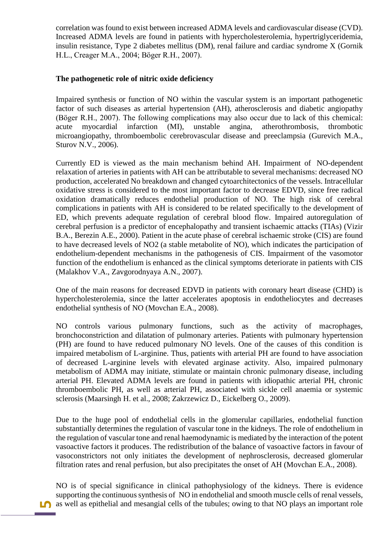correlation was found to exist between increased ADMA levels and cardiovascular disease (CVD). Increased ADMA levels are found in patients with hypercholesterolemia, hypertriglyceridemia, insulin resistance, Type 2 diabetes mellitus (DM), renal failure and cardiac syndrome X (Gornik H.L., Creager M.A., 2004; Böger R.H., 2007).

### **The pathogenetic role of nitric oxide deficiency**

Impaired synthesis or function of NO within the vascular system is an important pathogenetic factor of such diseases as arterial hypertension (AH), atherosclerosis and diabetic angiopathy (Böger R.H., 2007). The following complications may also occur due to lack of this chemical: acute myocardial infarction (MI), unstable angina, atherothrombosis, thrombotic microangiopathy, thromboembolic cerebrovascular disease and preeclampsia (Gurevich M.A., Sturov N.V., 2006).

Currently ED is viewed as the main mechanism behind AH. Impairment of NO-dependent relaxation of arteries in patients with AH can be attributable to several mechanisms: decreased NO production, accelerated No breakdown and changed cytoarchitectonics of the vessels. Intracellular oxidative stress is considered to the most important factor to decrease EDVD, since free radical oxidation dramatically reduces endothelial production of NO. The high risk of cerebral complications in patients with AH is considered to be related specifically to the development of ED, which prevents adequate regulation of cerebral blood flow. Impaired autoregulation of cerebral perfusion is a predictor of encephalopathy and transient ischaemic attacks (TIAs) (Vizir В.А., Berezin A.E., 2000). Patient in the acute phase of cerebral ischaemic stroke (CIS) are found to have decreased levels of NO2 (a stable metabolite of NO), which indicates the participation of endothelium-dependent mechanisms in the pathogenesis of CIS. Impairment of the vasomotor function of the endothelium is enhanced as the clinical symptoms deteriorate in patients with CIS (Malakhov V.A., Zavgorodnyaya A.N., 2007).

One of the main reasons for decreased EDVD in patients with coronary heart disease (CHD) is hypercholesterolemia, since the latter accelerates apoptosis in endotheliocytes and decreases endothelial synthesis of NO (Movchan E.A., 2008).

NO controls various pulmonary functions, such as the activity of macrophages, bronchoconstriction and dilatation of pulmonary arteries. Patients with pulmonary hypertension (PH) are found to have reduced pulmonary NO levels. One of the causes of this condition is impaired metabolism of L-arginine. Thus, patients with arterial PH are found to have association of decreased L-arginine levels with elevated arginase activity. Also, impaired pulmonary metabolism of ADMA may initiate, stimulate or maintain chronic pulmonary disease, including arterial PH. Elevated ADMA levels are found in patients with idiopathic arterial PH, chronic thromboembolic PH, as well as arterial PH, associated with sickle cell anaemia or systemic sclerosis (Maarsingh Н. et al., 2008; Zakrzewicz D., Eickelberg O., 2009).

Due to the huge pool of endothelial cells in the glomerular capillaries, endothelial function substantially determines the regulation of vascular tone in the kidneys. The role of endothelium in the regulation of vascular tone and renal haemodynamic is mediated by the interaction of the potent vasoactive factors it produces. The redistribution of the balance of vasoactive factors in favour of vasoconstrictors not only initiates the development of nephrosclerosis, decreased glomerular filtration rates and renal perfusion, but also precipitates the onset of AH (Movchan E.A., 2008).

**5** as well as epithelial and mesangial cells of the tubules; owing to that NO plays an important role NO is of special significance in clinical pathophysiology of the kidneys. There is evidence supporting the continuous synthesis of NO in endothelial and smooth muscle cells of renal vessels,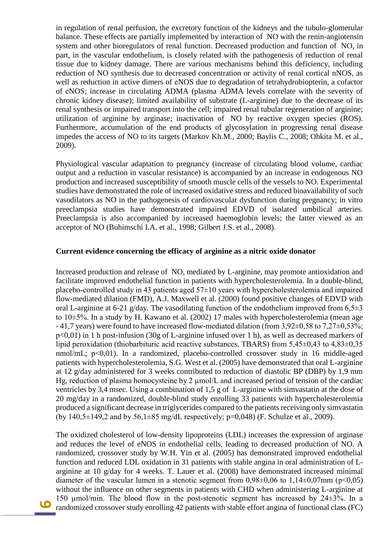in regulation of renal perfusion, the excretory function of the kidneys and the tubulo-glomerular balance. These effects are partially implemented by interaction of NO with the renin-angiotensin system and other bioregulators of renal function. Decreased production and function of NO, in part, in the vascular endothelium, is closely related with the pathogenesis of reduction of renal tissue due to kidney damage. There are various mechanisms behind this deficiency, including reduction of NO synthesis due to decreased concentration or activity of renal cortical nNOS, as well as reduction in active dimers of еNOS due to degradation of tetrahydrobiopterin, a cofactor of еNOS; increase in circulating ADMA (plasma ADMA levels correlate with the severity of chronic kidney disease); limited availability of substrate (L-arginine) due to the decrease of its renal synthesis or impaired transport into the cell; impaired renal tubular regeneration of arginine; utilization of arginine by arginase; inactivation of NO by reactive oxygen species (ROS). Furthermore, accumulation of the end products of glycosylation in progressing renal disease impedes the access of NO to its targets (Markov Kh.M., 2000; Baylis C., 2008; Ohkita М. et al., 2009).

Physiological vascular adaptation to pregnancy (increase of circulating blood volume, cardiac output and a reduction in vascular resistance) is accompanied by an increase in endogenous NO production and increased susceptibility of smooth muscle cells of the vessels to NO. Experimental studies have demonstrated the role of increased oxidative stress and reduced bioavailability of such vasodilators as NO in the pathogenesis of cardiovascular dysfunction during pregnancy; in vitro preeclampsia studies have demonstrated impaired EDVD of isolated umbilical arteries. Preeclampsia is also accompanied by increased haemoglobin levels; the latter viewed as an acceptor of NO (Buhimschi I.A. et al., 1998; Gilbert J.S. et al., 2008).

#### **Current evidence concerning the efficacy of arginine as a nitric oxide donator**

Increased production and release of NO, mediated by L-arginine, may promote antioxidation and facilitate improved endothelial function in patients with hypercholesterolemia. In a double-blind, placebo-controlled study in 43 patients aged 57±10 years with hypercholesterolemia and impaired flow-mediated dilation (FMD), A.J. Maxwell et al. (2000) found positive changes of EDVD with oral L-arginine at 6-21 g/day. The vasodilating function of the endothelium improved from  $6.5\pm3$ to 10±5%. In a study by Н. Kawano et al. (2002) 17 males with hypercholesterolemia (mean age - 41,7 years) were found to have increased flow-mediated dilation (from 3,92±0,58 to 7,27±0,53%; р<0,01) in 1 h post-infusion (30g of L-arginine infused over 1 h), as well as decreased markers of lipid peroxidation (thiobarbituric acid reactive substances, TBARS) from 5,45±0,43 to 4,83±0,35 nmol/mL; p<0,01). In a randomized, placebo-controlled crossover study in 16 middle-aged patients with hypercholesterolemia, S.G. West et al. (2005) have demonstrated that oral L-arginine at 12 g/day administered for 3 weeks contributed to reduction of diastolic BP (DBP) by 1,9 mm Hg, reduction of plasma homocysteine by 2  $\mu$ mol/L and increased period of tension of the cardiac ventricles by 3,4 msec. Using a combination of 1,5 g of L-arginine with simvastatin at the dose of 20 mg/day in a randomized, double-blind study enrolling 33 patients with hypercholesterolemia produced a significant decrease in triglycerides compared to the patients receiving only simvastatin (by 140,5 $\pm$ 149,2 and by 56,1 $\pm$ 85 mg/dL respectively; p=0,048) (F. Schulze et al., 2009).

 randomized crossover study enrolling 42 patients with stable effort angina of functional class (FC) The oxidized cholesterol of low-density lipoproteins (LDL) increases the expression of arginase and reduces the level of eNOS in endothelial cells, leading to decreased production of NO. A randomized, crossover study by W.H. Yin et al. (2005) has demonstrated improved endothelial function and reduced LDL oxidation in 31 patients with stable angina in oral administration of Larginine at 10 g/day for 4 weeks. Т. Lauer et al. (2008) have demonstrated increased minimal diameter of the vascular lumen in a stenotic segment from  $0.98\pm0.06$  to  $1.14\pm0.07$ mm ( $p<0.05$ ) without the influence on other segments in patients with CHD when administering L-arginine at 150 µmol/min. The blood flow in the post-stenotic segment has increased by 24±3%. In a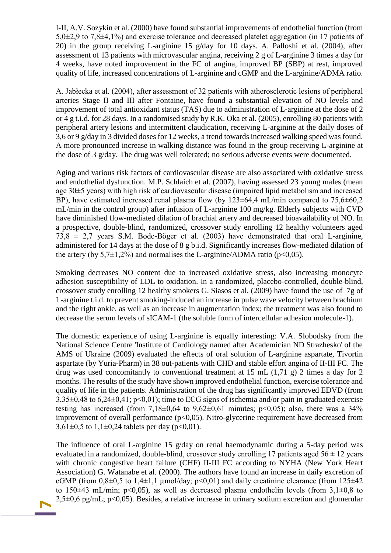І-ІІ, A.V. Sozykin et al. (2000) have found substantial improvements of endothelial function (from 5,0±2,9 to 7,8±4,1%) and exercise tolerance and decreased platelet aggregation (in 17 patients of 20) in the group receiving L-arginine 15 g/day for 10 days. А. Palloshi et al. (2004), after assessment of 13 patients with microvascular angina, receiving 2 g of L-arginine 3 times a day for 4 weeks, have noted improvement in the FC of angina, improved BP (SBP) at rest, improved quality of life, increased concentrations of L-arginine and cGMP and the L-arginine/ADMA ratio.

А. Jabłecka et al. (2004), after assessment of 32 patients with atherosclerotic lesions of peripheral arteries Stage ІІ and ІІІ after Fontaine, have found a substantial elevation of NO levels and improvement of total antioxidant status (TAS) due to administration of L-arginine at the dose of 2 or 4 g t.i.d. for 28 days. In a randomised study by R.K. Oka et al. (2005), enrolling 80 patients with peripheral artery lesions and intermittent claudication, receiving L-arginine at the daily doses of 3,6 or 9 g/day in 3 divided doses for 12 weeks, a trend towards increased walking speed was found. A more pronounced increase in walking distance was found in the group receiving L-arginine at the dose of 3 g/day. The drug was well tolerated; no serious adverse events were documented.

Aging and various risk factors of cardiovascular disease are also associated with oxidative stress and endothelial dysfunction. М.Р. Schlaich et al. (2007), having assessed 23 young males (mean age 30±5 years) with high risk of cardiovascular disease (impaired lipid metabolism and increased BP), have estimated increased renal plasma flow (by  $123 \pm 64.4$  mL/min compared to  $75.6 \pm 60.2$ mL/min in the control group) after infusion of L-arginine 100 mg/kg. Elderly subjects with CVD have diminished flow-mediated dilation of brachial artery and decreased bioavailability of NO. In a prospective, double-blind, randomized, crossover study enrolling 12 healthy volunteers aged  $73.8 \pm 2.7$  years S.M. Bode-Böger et al. (2003) have demonstrated that oral L-arginine, administered for 14 days at the dose of 8 g b.i.d. Significantly increases flow-mediated dilation of the artery (by  $5.7\pm1.2\%$ ) and normalises the L-arginine/ADMA ratio (p<0,05).

Smoking decreases NO content due to increased oxidative stress, also increasing monocyte adhesion susceptibility of LDL to oxidation. In a randomized, placebo-controlled, double-blind, crossover study enrolling 12 healthy smokers G. Siasos et al. (2009) have found the use of 7g of L-arginine t.i.d. to prevent smoking-induced an increase in pulse wave velocity between brachium and the right ankle, as well as an increase in augmentation index; the treatment was also found to decrease the serum levels of sICAM-1 (the soluble form of intercellular adhesion molecule-1).

The domestic experience of using L-arginine is equally interesting: V.A. Slobodsky from the National Science Centre 'Institute of Cardiology named after Academician ND Strazhesko' of the AMS of Ukraine (2009) evaluated the effects of oral solution of L-arginine aspartate, Tivortin aspartate (by Yuria-Pharm) in 38 out-patients with CHD and stable effort angina of II-III FC. The drug was used concomitantly to conventional treatment at 15 mL  $(1.71 \text{ g})$  2 times a day for 2 months. The results of the study have shown improved endothelial function, exercise tolerance and quality of life in the patients. Administration of the drug has significantly improved EDVD (from 3,35±0,48 to 6,24±0,41; p<0,01); time to ECG signs of ischemia and/or pain in graduated exercise testing has increased (from  $7.18\pm0.64$  to  $9.62\pm0.61$  minutes;  $p<0.05$ ); also, there was a 34% improvement of overall performance (p<0,05). Nitro-glycerine requirement have decreased from  $3,61\pm0,5$  to  $1,1\pm0,24$  tablets per day (p<0,01).

The influence of oral L-arginine 15 g/day on renal haemodynamic during a 5-day period was evaluated in a randomized, double-blind, crossover study enrolling 17 patients aged  $56 \pm 12$  years with chronic congestive heart failure (CHF) II-III FC according to NYHA (New York Heart Association) G. Watanabe et al. (2000). The authors have found an increase in daily excretion of cGMP (from  $0.8\pm0.5$  to  $1.4\pm1.1$  µmol/day; p<0.01) and daily creatinine clearance (from 125 $\pm$ 42 to 150 $\pm$ 43 mL/min; p<0,05), as well as decreased plasma endothelin levels (from 3,1 $\pm$ 0,8 to  $2,5\pm0,6$  pg/mL; p<0,05). Besides, a relative increase in urinary sodium excretion and glomerular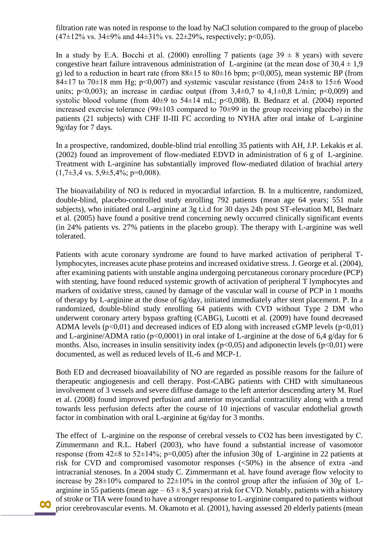filtration rate was noted in response to the load by NaCl solution compared to the group of placebo  $(47\pm12\% \text{ vs. } 34\pm9\% \text{ and } 44\pm31\% \text{ vs. } 22\pm29\% \text{, respectively; } p<0.05).$ 

In a study by E.A. Bocchi et al. (2000) enrolling 7 patients (age  $39 \pm 8$  years) with severe congestive heart failure intravenous administration of L-arginine (at the mean dose of  $30.4 \pm 1.9$ ) g) led to a reduction in heart rate (from  $88\pm15$  to  $80\pm16$  bpm;  $p<0,005$ ), mean systemic BP (from 84 $\pm$ 17 to 70 $\pm$ 18 mm Hg; p<0,007) and systemic vascular resistance (from 24 $\pm$ 8 to 15 $\pm$ 6 Wood units;  $p<0.003$ ; an increase in cardiac output (from 3,4 $\pm$ 0,7 to 4,1 $\pm$ 0,8 L/min;  $p<0.009$ ) and systolic blood volume (from  $40\pm9$  to  $54\pm14$  mL; p<0,008). B. Bednarz et al. (2004) reported increased exercise tolerance ( $99\pm103$  compared to  $70\pm99$  in the group receiving placebo) in the patients (21 subjects) with CHF II-III FC according to NYHA after oral intake of L-arginine 9g/day for 7 days.

In a prospective, randomized, double-blind trial enrolling 35 patients with AH, J.P. Lekakis et al. (2002) found an improvement of flow-mediated EDVD in administration of 6 g of L-arginine. Treatment with L-arginine has substantially improved flow-mediated dilation of brachial artery  $(1,7\pm3,4 \text{ vs. } 5,9\pm5,4\%; \text{ p=0,008}).$ 

The bioavailability of NO is reduced in myocardial infarction. B. In a multicentre, randomized, double-blind, placebo-controlled study enrolling 792 patients (mean age 64 years; 551 male subjects), who initiated oral L-arginine at 3g t.i.d for 30 days 24h post ST-elevation MI, Bednarz et al. (2005) have found a positive trend concerning newly occurred clinically significant events (in 24% patients vs. 27% patients in the placebo group). The therapy with L-arginine was well tolerated.

Patients with acute coronary syndrome are found to have marked activation of peripheral Tlymphocytes, increases acute phase proteins and increased oxidative stress. J. George et al. (2004), after examining patients with unstable angina undergoing percutaneous coronary procedure (PCP) with stenting, have found reduced systemic growth of activation of peripheral T lymphocytes and markers of oxidative stress, caused by damage of the vascular wall in course of PCP in 1 months of therapy by L-arginine at the dose of 6g/day, initiated immediately after stent placement. Р. In a randomized, double-blind study enrolling 64 patients with CVD without Type 2 DM who underwent coronary artery bypass grafting (CABG), Lucotti et al. (2009) have found decreased ADMA levels  $(p<0,01)$  and decreased indices of ED along with increased cGMP levels  $(p<0,01)$ and L-arginine/ADMA ratio ( $p<0,0001$ ) in oral intake of L-arginine at the dose of 6,4 g/day for 6 months. Also, increases in insulin sensitivity index ( $p<0.05$ ) and adiponectin levels ( $p<0.01$ ) were documented, as well as reduced levels of IL-6 and MCP-1.

Both ED and decreased bioavailability of NO are regarded as possible reasons for the failure of therapeutic angiogenesis and cell therapy. Post-CABG patients with CHD with simultaneous involvement of 3 vessels and severe diffuse damage to the left anterior descending artery М. Ruel et al. (2008) found improved perfusion and anterior myocardial contractility along with a trend towards less perfusion defects after the course of 10 injections of vascular endothelial growth factor in combination with oral L-arginine at 6g/day for 3 months.

 prior cerebrovascular events. М. Okamoto et al. (2001), having assessed 20 elderly patients (mean The effect of L-arginine on the response of cerebral vessels to CO2 has been investigated by C. Zimmermann and R.L. Haberl (2003), who have found a substantial increase of vasomotor response (from  $42\pm8$  to  $52\pm14\%$ ; p=0,005) after the infusion 30g of L-arginine in 22 patients at risk for CVD and compromised vasomotor responses (<50%) in the absence of extra -and intracranial stenoses. In a 2004 study C. Zimmermann et al. have found average flow velocity to increase by  $28\pm10\%$  compared to  $22\pm10\%$  in the control group after the infusion of 30g of Larginine in 55 patients (mean age  $-63 \pm 8.5$  years) at risk for CVD. Notably, patients with a history of stroke or TIA were found to have a stronger response to L-arginine compared to patients without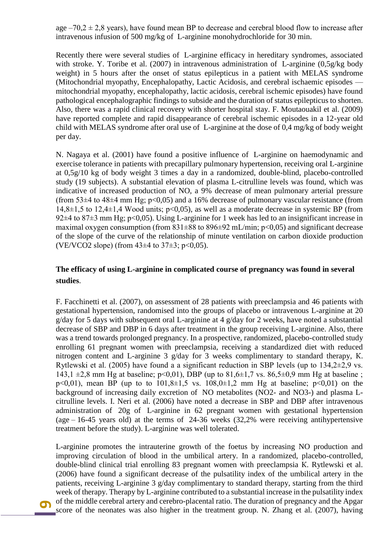age  $-70.2 \pm 2.8$  years), have found mean BP to decrease and cerebral blood flow to increase after intravenous infusion of 500 mg/kg of L-arginine monohydrochloride for 30 min.

Recently there were several studies of L-arginine efficacy in hereditary syndromes, associated with stroke. Y. Toribe et al. (2007) in intravenous administration of L-arginine (0,5g/kg body weight) in 5 hours after the onset of status epilepticus in a patient with MELAS syndrome (Mitochondrial myopathy, Encephalopathy, Lactic Acidosis, and cerebral ischaemic episodes mitochondrial myopathy, encephalopathy, lactic acidosis, cerebral ischemic episodes) have found pathological encephalographic findings to subside and the duration of status epilepticus to shorten. Also, there was a rapid clinical recovery with shorter hospital stay. F. Moutaouakil et al. (2009) have reported complete and rapid disappearance of cerebral ischemic episodes in a 12-year old child with MELAS syndrome after oral use of L-arginine at the dose of 0,4 mg/kg of body weight per day.

N. Nagaya et al. (2001) have found a positive influence of L-arginine on haemodynamic and exercise tolerance in patients with precapillary pulmonary hypertension, receiving oral L-arginine at 0,5g/10 kg of body weight 3 times a day in a randomized, double-blind, placebo-controlled study (19 subjects). A substantial elevation of plasma L-citrulline levels was found, which was indicative of increased production of NO, a 9% decrease of mean pulmonary arterial pressure (from 53 $\pm$ 4 to 48 $\pm$ 4 mm Hg; p<0,05) and a 16% decrease of pulmonary vascular resistance (from  $14,8\pm1,5$  to  $12,4\pm1,4$  Wood units; p<0.05), as well as a moderate decrease in systemic BP (from 92 $\pm$ 4 to 87 $\pm$ 3 mm Hg; p<0,05). Using L-arginine for 1 week has led to an insignificant increase in maximal oxygen consumption (from  $831\pm88$  to  $896\pm92$  mL/min; p<0,05) and significant decrease of the slope of the curve of the relationship of minute ventilation on carbon dioxide production (VE/VCO2 slope) (from  $43\pm4$  to  $37\pm3$ ; p<0,05).

## **The efficacy of using L-arginine in complicated course of pregnancy was found in several studies**.

F. Facchinetti et al. (2007), on assessment of 28 patients with preeclampsia and 46 patients with gestational hypertension, randomised into the groups of placebo or intravenous L-arginine at 20 g/day for 5 days with subsequent oral L-arginine at 4 g/day for 2 weeks, have noted a substantial decrease of SBP and DBP in 6 days after treatment in the group receiving L-arginine. Also, there was a trend towards prolonged pregnancy. In a prospective, randomized, placebo-controlled study enrolling 61 pregnant women with preeclampsia, receiving a standardized diet with reduced nitrogen content and L-arginine 3 g/day for 3 weeks complimentary to standard therapy, К. Rytlewski et al. (2005) have found a a significant reduction in SBP levels (up to 134,2±2,9 vs. 143,1  $\pm$ 2,8 mm Hg at baseline; p<0,01), DBP (up to 81,6 $\pm$ 1,7 vs. 86,5 $\pm$ 0,9 mm Hg at baseline; p<0,01), mean BP (up to to  $101,8\pm1,5$  vs.  $108,0\pm1,2$  mm Hg at baseline; p<0,01) on the background of increasing daily excretion of NO metabolites (NO2- and NO3-) and plasma Lcitrulline levels. I. Neri et al. (2006) have noted a decrease in SBP and DBP after intravenous administration of 20g of L-arginine in 62 pregnant women with gestational hypertension (age  $-16-45$  years old) at the terms of 24-36 weeks (32,2% were receiving antihypertensive treatment before the study). L-arginine was well tolerated.

 score of the neonates was also higher in the treatment group. N. Zhang et al. (2007), having L-arginine promotes the intrauterine growth of the foetus by increasing NO production and improving circulation of blood in the umbilical artery. In a randomized, placebo-controlled, double-blind clinical trial enrolling 83 pregnant women with preeclampsia К. Rytlewski et al. (2006) have found a significant decrease of the pulsatility index of the umbilical artery in the patients, receiving L-arginine 3 g/day complimentary to standard therapy, starting from the third week of therapy. Therapy by L-arginine contributed to a substantial increase in the pulsatility index of the middle cerebral artery and cerebro-placental ratio. The duration of pregnancy and the Apgar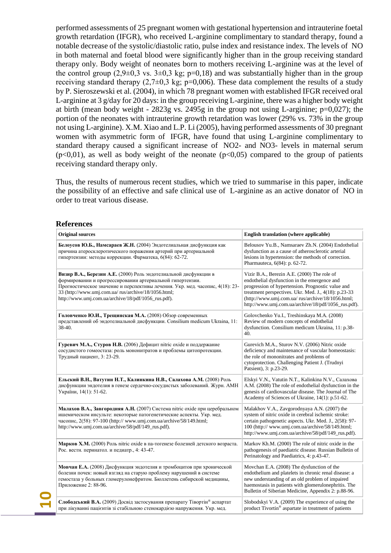performed assessments of 25 pregnant women with gestational hypertension and intrauterine foetal growth retardation (IFGR), who received L-arginine complimentary to standard therapy, found a notable decrease of the systolic/diastolic ratio, pulse index and resistance index. The levels of NO in both maternal and foetal blood were significantly higher than in the group receiving standard therapy only. Body weight of neonates born to mothers receiving L-arginine was at the level of the control group  $(2,9\pm 0,3 \text{ vs. } 3\pm 0,3 \text{ kg}; \text{ p=0,18})$  and was substantially higher than in the group receiving standard therapy  $(2,7\pm 0,3 \text{ kg}; \text{ p=0,006})$ . These data complement the results of a study by Р. Sieroszewski et al. (2004), in which 78 pregnant women with established IFGR received oral L-arginine at 3 g/day for 20 days: in the group receiving L-arginine, there was a higher body weight at birth (mean body weight -  $2823g$  vs.  $2495g$  in the group not using L-arginine;  $p=0.027$ ); the portion of the neonates with intrauterine growth retardation was lower (29% vs. 73% in the group not using L-arginine). X.M. Xiao and L.P. Li (2005), having performed assessments of 30 pregnant women with asymmetric form of IFGR, have found that using L-arginine complimentary to standard therapy caused a significant increase of NO2- and NO3- levels in maternal serum  $(p<0.01)$ , as well as body weight of the neonate  $(p<0.05)$  compared to the group of patients receiving standard therapy only.

Thus, the results of numerous recent studies, which we tried to summarise in this paper, indicate the possibility of an effective and safe clinical use of L-arginine as an active donator of NO in order to treat various disease.

#### **References**

| <b>Original sources</b>                                                                                                                                                                                                                                                                                                       | English translation (where applicable)                                                                                                                                                                                                                                                                               |
|-------------------------------------------------------------------------------------------------------------------------------------------------------------------------------------------------------------------------------------------------------------------------------------------------------------------------------|----------------------------------------------------------------------------------------------------------------------------------------------------------------------------------------------------------------------------------------------------------------------------------------------------------------------|
| Белоусов Ю.Б., Намсараев Ж.Н. (2004) Эндотелиальная дисфункция как<br>причина атеросклеротического поражения артерий при артериальной<br>гипертензии: методы коррекции. Фарматека, 6(84): 62-72.                                                                                                                              | Belousov Yu.B., Namsaraev Zh.N. (2004) Endothelial<br>dysfunction as a cause of atherosclerotic arterial<br>lesions in hypertension: the methods of correction.<br>Pharmauteca, 6(84): p. 62-72.                                                                                                                     |
| Визир В.А., Березин А.Е. (2000) Роль эндотелиальной дисфункции в<br>формировании и прогрессировании артериальной гипертензии.<br>Прогностическое значение и перспективы лечения. Укр. мед. часопис, 4(18): 23-<br>33 (http://www.umj.com.ua/ rus/archive/18/1056.html;<br>http://www.umj.com.ua/archive/18/pdf/1056_rus.pdf). | Vizir B.A., Berezin A.E. (2000) The role of<br>endothelial dysfunction in the emergence and<br>progression of hypertension. Prognostic value and<br>treatment perspectives. Ukr. Med. J., 4(18): p.23-33<br>(http://www.umj.com.ua/ rus/archive/18/1056.html;<br>http://www.umj.com.ua/archive/18/pdf/1056_rus.pdf). |
| Головченко Ю.И., Трещинская М.А. (2008) Обзор современных<br>представлений об эндотелиальной дисфункции. Consilium medicum Ukraina, 11:<br>38-40.                                                                                                                                                                             | Golovchenko Yu.I., Treshinskaya M.A. (2008)<br>Review of modern concepts of endothelial<br>dysfunction. Consilium medicum Ukraina, 11: p.38-<br>40.                                                                                                                                                                  |
| Гуревич М.А., Стуров Н.В. (2006) Дефицит nitric oxide и поддержание<br>сосудистого гомеостаза: роль мононитратов и проблемы цитопротекции.<br>Трудный пациент, 3: 23-29.                                                                                                                                                      | Gurevich M.A., Sturov N.V. (2006) Nitric oxide<br>deficiency and maintenance of vascular homeostasis:<br>the role of mononitrates and problems of<br>cytoprotection. Challenging Patient J. (Trudnyi<br>Patsient), 3: p.23-29.                                                                                       |
| Ельский В.Н., Ватутин Н.Т., Калинкина Н.В., Салахова А.М. (2008) Роль<br>дисфункции эндотелия в генезе сердечно-сосудистых заболеваний. Журн. АМН<br>України, 14(1): 51-62.                                                                                                                                                   | Elskyi V.N., Vatutin N.T., Kalinkina N.V., Салахова<br>A.M. (2008) The role of endothelial dysfunction in the<br>genesis of cardiovascular disease. The Journal of The<br>Academy of Sciences of Ukraine, 14(1): p.51-62.                                                                                            |
| Малахов В.А., Завгородняя А.Н. (2007) Система nitric oxide при церебральном<br>ишемическом инсульте: некоторые патогенетические аспекты. Укр. мед.<br>часопис, 2(58): 97-100 (http:// www.umj.com.ua/archive/58/149.html;<br>http://www.umj.com.ua/archive/58/pdf/149_rus.pdf).                                               | Malakhov V.A., Zavgorodnyaya A.N. (2007) the<br>system of nitric oxide in cerebral ischemic stroke:<br>certain pathogenetic aspects. Ukr. Med. J., 2(58): 97-<br>100 (http:// www.umj.com.ua/archive/58/149.html;<br>http://www.umj.com.ua/archive/58/pdf/149_rus.pdf).                                              |
| Марков Х.М. (2000) Роль nitric oxide в па-тогенезе болезней детского возраста.<br>Рос. вестн. перинатол. и педиатр., 4: 43-47.                                                                                                                                                                                                | Markov Kh.M. (2000) The role of nitric oxide in the<br>pathogenesis of paediatric disease. Russian Bulletin of<br>Perinatology and Paediatrics, 4: p.43-47.                                                                                                                                                          |
| Мовчан Е.А. (2008) Дисфункция эндотелия и тромбоцитов при хронической<br>болезни почек: новый взгляд на старую проблему нарушений в системе<br>гемостаза у больных гломерулонефритом. Бюллетень сибирской медицины,<br>Приложение 2: 88-96.                                                                                   | Movchan E.A. (2008) The dysfunction of the<br>endothelium and platelets in chronic renal disease: a<br>new understanding of an old problem of impaired<br>haemostasis in patients with glomerulonephritis. The<br>Bulletin of Siberian Medicine, Appendix 2: p.88-96.                                                |
| Слободський В.А. (2009) Досвід застосування препарату Тівортін® аспартат<br>при лікуванні пацієнтів зі стабільною стенокардією напруження. Укр. мед.                                                                                                                                                                          | Slobodskyi V.A. (2009) The experience of using the<br>product Tivortin® aspartate in treatment of patients                                                                                                                                                                                                           |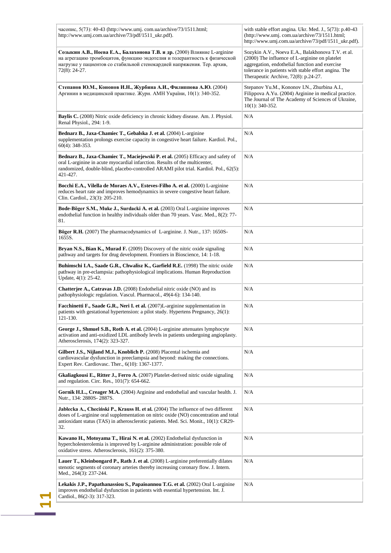| часопис, 5(73): 40-43 (http://www.umj.com.ua/archive/73/1511.html;<br>http://www.umj.com.ua/archive/73/pdf/1511_ukr.pdf).                                                                                                                                                 | with stable effort angina. Ukr. Med. J., 5(73): p.40-43<br>(http://www.umj.com.ua/archive/73/1511.html;<br>http://www.umj.com.ua/archive/73/pdf/1511_ukr.pdf).                                                                                        |
|---------------------------------------------------------------------------------------------------------------------------------------------------------------------------------------------------------------------------------------------------------------------------|-------------------------------------------------------------------------------------------------------------------------------------------------------------------------------------------------------------------------------------------------------|
| Созыкин А.В., Ноева Е.А., Балахонова Т.В. и др. (2000) Влияние L-arginine<br>на агрегацию тромбоцитов, функцию эндотелия и толерантность к физической<br>нагрузке у пациентов со стабильной стенокардией напряжения. Тер. архив,<br>72(8): 24-27.                         | Sozykin A.V., Noeva E.A., Balakhonova T.V. et al.<br>(2000) The influence of L-arginine on platelet<br>aggregation, endothelial function and exercise<br>tolerance in patients with stable effort angina. The<br>Therapeutic Archive, 72(8): p.24-27. |
| Степанов Ю.М., Кононов И.Н., Журбина А.И., Филиппова А.Ю. (2004)<br>Аргинин в медицинской практике. Журн. АМН України, 10(1): 340-352.                                                                                                                                    | Stepanov Yu.M., Kononov I.N., Zhurbina A.I.,<br>Filippova A.Yu. (2004) Arginine in medical practice.<br>The Journal of The Academy of Sciences of Ukraine,<br>$10(1)$ : 340-352.                                                                      |
| Baylis C. (2008) Nitric oxide deficiency in chronic kidney disease. Am. J. Physiol.<br>Renal Physiol., 294: 1-9.                                                                                                                                                          | N/A                                                                                                                                                                                                                                                   |
| Bednarz B., Jaxa-Chamiec T., Gebalska J. et al. (2004) L-arginine<br>supplementation prolongs exercise capacity in congestive heart failure. Kardiol. Pol.,<br>$60(4)$ : 348-353.                                                                                         | N/A                                                                                                                                                                                                                                                   |
| Bednarz B., Jaxa-Chamiec T., Maciejewski P. et al. (2005) Efficacy and safety of<br>oral L-arginine in acute myocardial infarction. Results of the multicenter,<br>randomized, double-blind, placebo-controlled ARAMI pilot trial. Kardiol. Pol., 62(5):<br>421-427.      | N/A                                                                                                                                                                                                                                                   |
| Bocchi E.A., Vilella de Moraes A.V., Esteves-Filho A. et al. (2000) L-arginine<br>reduces heart rate and improves hemodynamics in severe congestive heart failure.<br>Clin. Cardiol., 23(3): 205-210.                                                                     | N/A                                                                                                                                                                                                                                                   |
| Bode-Böger S.M., Muke J., Surdacki A. et al. (2003) Oral L-arginine improves<br>endothelial function in healthy individuals older than 70 years. Vasc. Med., 8(2): 77-<br>81.                                                                                             | N/A                                                                                                                                                                                                                                                   |
| Böger R.H. (2007) The pharmacodynamics of L-arginine. J. Nutr., 137: 1650S-<br>1655S.                                                                                                                                                                                     | N/A                                                                                                                                                                                                                                                   |
| Bryan N.S., Bian K., Murad F. (2009) Discovery of the nitric oxide signaling<br>pathway and targets for drug development. Frontiers in Bioscience, 14: 1-18.                                                                                                              | N/A                                                                                                                                                                                                                                                   |
| Buhimschi I.A., Saade G.R., Chwalisz K., Garfield R.E. (1998) The nitric oxide<br>pathway in pre-eclampsia: pathophysiological implications. Human Reproduction<br>Update, 4(1): 25-42.                                                                                   | N/A                                                                                                                                                                                                                                                   |
| Chatterjee A., Catravas J.D. (2008) Endothelial nitric oxide (NO) and its<br>pathophysiologic regulation. Vascul. Pharmacol., 49(4-6): 134-140.                                                                                                                           | N/A                                                                                                                                                                                                                                                   |
| Facchinetti F., Saade G.R., Neri I. et al. (2007)L-arginine supplementation in<br>patients with gestational hypertension: a pilot study. Hypertens Pregnancy, 26(1):<br>121-130.                                                                                          | N/A                                                                                                                                                                                                                                                   |
| George J., Shmuel S.B., Roth A. et al. (2004) L-arginine attenuates lymphocyte<br>activation and anti-oxidized LDL antibody levels in patients undergoing angioplasty.<br>Atherosclerosis, 174(2): 323-327.                                                               | N/A                                                                                                                                                                                                                                                   |
| Gilbert J.S., Nijland M.J., Knoblich P. (2008) Placental ischemia and<br>cardiovascular dysfunction in preeclampsia and beyond: making the connections.<br>Expert Rev. Cardiovasc. Ther., 6(10): 1367-1377.                                                               | N/A                                                                                                                                                                                                                                                   |
| Gkaliagkousi E., Ritter J., Ferro A. (2007) Platelet-derived nitric oxide signaling<br>and regulation. Circ. Res., 101(7): 654-662.                                                                                                                                       | N/A                                                                                                                                                                                                                                                   |
| Gornik H.L., Creager M.A. (2004) Arginine and endothelial and vascular health. J.<br>Nutr., 134: 2880S-2887S.                                                                                                                                                             | N/A                                                                                                                                                                                                                                                   |
| Jabłecka A., Checiński P., Krauss H. et al. (2004) The influence of two different<br>doses of L-arginine oral supplementation on nitric oxide (NO) concentration and total<br>antioxidant status (TAS) in atherosclerotic patients. Med. Sci. Monit., 10(1): CR29-<br>32. | N/A                                                                                                                                                                                                                                                   |
| Kawano H., Motoyama T., Hirai N. et al. (2002) Endothelial dysfunction in<br>hypercholesterolemia is improved by L-arginine administration: possible role of<br>oxidative stress. Atherosclerosis, 161(2): 375-380.                                                       | N/A                                                                                                                                                                                                                                                   |
| Lauer T., Kleinbongard P., Rath J. et al. (2008) L-arginine preferentially dilates<br>stenotic segments of coronary arteries thereby increasing coronary flow. J. Intern.<br>Med., 264(3): 237-244.                                                                       | N/A                                                                                                                                                                                                                                                   |
| Lekakis J.P., Papathanassiou S., Papaioannou T.G. et al. (2002) Oral L-arginine<br>improves endothelial dysfunction in patients with essential hypertension. Int. J.                                                                                                      | N/A                                                                                                                                                                                                                                                   |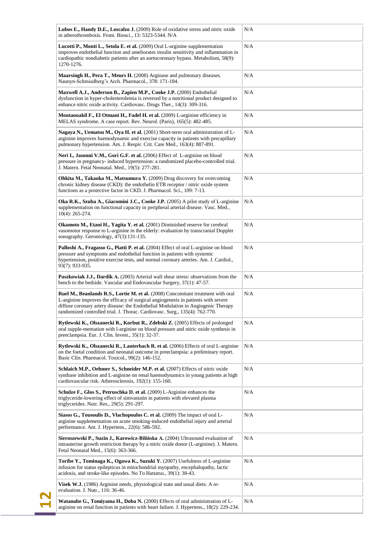| Lubos E., Handy D.E., Loscalzo J. (2009) Role of oxidative stress and nitric oxide<br>in atherothrombosis. Front. Biosci., 13: 5323-5344. N/A                                                                                                                                                                                             | N/A |
|-------------------------------------------------------------------------------------------------------------------------------------------------------------------------------------------------------------------------------------------------------------------------------------------------------------------------------------------|-----|
| Lucotti P., Monti L., Setola E. et al. (2009) Oral L-arginine supplementation<br>improves endothelial function and ameliorates insulin sensitivity and inflammation in<br>cardiopathic nondiabetic patients after an aortocoronary bypass. Metabolism, 58(9):<br>1270-1276.                                                               | N/A |
| Maarsingh H., Pera T., Meurs H. (2008) Arginase and pulmonary diseases.<br>Naunyn-Schmiedberg's Arch. Pharmacol., 378: 171-184.                                                                                                                                                                                                           | N/A |
| Maxwell A.J., Anderson B., Zapien M.P., Cooke J.P. (2000) Endothelial<br>dysfunction in hyper-cholesterolemia is reversed by a nutritional product designed to<br>enhance nitric oxide activity. Cardiovasc. Drugs Ther., 14(3): 309-316.                                                                                                 | N/A |
| Moutaouakil F., El Otmani H., Fadel H. et al. (2009) L-arginine efficiency in<br>MELAS syndrome. A case report. Rev. Neurol. (Paris), 165(5): 482-485.                                                                                                                                                                                    | N/A |
| Nagaya N., Uematsu M., Oya H. et al. (2001) Short-term oral administration of L-<br>arginine improves haemodynamic and exercise capacity in patients with precapillary<br>pulmonary hypertension. Am. J. Respir. Crit. Care Med., 163(4): 887-891.                                                                                        | N/A |
| Neri I., Jasonni V.M., Gori G.F. et al. (2006) Effect of L-arginine on blood<br>pressure in pregnancy- induced hypertension: a randomized placebo-controlled trial.<br>J. Matern. Fetal Neonatal. Med., 19(5): 277-281.                                                                                                                   | N/A |
| Ohkita M., Takaoka M., Matsumura Y. (2009) Drug discovery for overcoming<br>chronic kidney disease (CKD): the endothelin ETB receptor / nitric oxide system<br>functions as a protective factor in CKD. J. Pharmacol. Sci., 109: 7-13.                                                                                                    | N/A |
| Oka R.K., Szuba A., Giacomini J.C., Cooke J.P. (2005) A pilot study of L-arginine<br>supplementation on functional capacity in peripheral arterial disease. Vasc. Med.,<br>$10(4)$ : 265-274.                                                                                                                                             | N/A |
| Okamoto M., Etani H., Yagita Y. et al. (2001) Diminished reserve for cerebral<br>vasomotor response to L-arginine in the elderly: evaluation by transcranial Doppler<br>sonography. Gerontology, 47(3):131-135.                                                                                                                           | N/A |
| Palloshi A., Fragasso G., Piatti P. et al. (2004) Effect of oral L-arginine on blood<br>pressure and symptoms and endothelial function in patients with systemic<br>hypertension, positive exercise tests, and normal coronary arteries. Am. J. Cardiol.,<br>93(7): 933-935.                                                              | N/A |
| Paszkowiak J.J., Dardik A. (2003) Arterial wall shear stress: observations from the<br>bench to the bedside. Vascular and Endovascular Surgery, 37(1): 47-57.                                                                                                                                                                             | N/A |
| Ruel M., Beanlands R.S., Lortie M. et al. (2008) Concomitant treatment with oral<br>L-arginine improves the efficacy of surgical angiogenesis in patients with severe<br>diffuse coronary artery disease: the Endothelial Modulation in Angiogenic Therapy<br>randomized controlled trial. J. Thorac. Cardiovasc. Surg., 135(4): 762-770. | N/A |
| Rytlewski K., Olszanecki R., Korbut R., Zdebski Z. (2005) Effects of prolonged<br>oral supple-mentation with l-arginine on blood pressure and nitric oxide synthesis in<br>preeclampsia. Eur. J. Clin. Invest., 35(1): 32-37.                                                                                                             | N/A |
| Rytlewski K., Olszanecki R., Lauterbach R. et al. (2006) Effects of oral L-arginine<br>on the foetal condition and neonatal outcome in preeclampsia: a preliminary report.<br>Basic Clin. Pharmacol. Toxicol., 99(2): 146-152.                                                                                                            | N/A |
| Schlaich M.P., Oehmer S., Schneider M.P. et al. (2007) Effects of nitric oxide<br>synthase inhibition and L-arginine on renal haemodynamics in young patients at high<br>cardiovascular risk. Atherosclerosis, 192(1): 155-160.                                                                                                           | N/A |
| Schulze F., Glos S., Petruschka D. et al. (2009) L-Arginine enhances the<br>triglyceride-lowering effect of simvastatin in patients with elevated plasma<br>triglycerides. Nutr. Res., 29(5): 291-297.                                                                                                                                    | N/A |
| Siasos G., Tousoulis D., Vlachopoulos C. et al. (2009) The impact of oral L-<br>arginine supplementation on acute smoking-induced endothelial injury and arterial<br>performance. Am. J. Hypertens., 22(6): 586-592.                                                                                                                      | N/A |
| Sieroszewski P., Suzin J., Karowicz-Bilińska A. (2004) Ultrasound evaluation of<br>intrauterine growth restriction therapy by a nitric oxide donor (L-arginine). J. Matern.<br>Fetal Neonatal Med., 15(6): 363-366.                                                                                                                       | N/A |
| Toribe Y., Tominaga K., Ogawa K., Suzuki Y. (2007) Usefulness of L-arginine<br>infusion for status epilepticus in mitochondrial myopathy, encephalopathy, lactic<br>acidosis, and stroke-like episodes. No To Hattatsu., 39(1): 38-43.                                                                                                    | N/A |
| Visek W.J. (1986) Arginine needs, physiological state and usual diets. A re-<br>evaluation. J. Nutr., 116: 36-46.                                                                                                                                                                                                                         | N/A |
| Watanabe G., Tomiyama H., Doba N. (2000) Effects of oral administration of L-<br>arginine on renal function in patients with heart failure. J. Hypertens., 18(2): 229-234.                                                                                                                                                                | N/A |